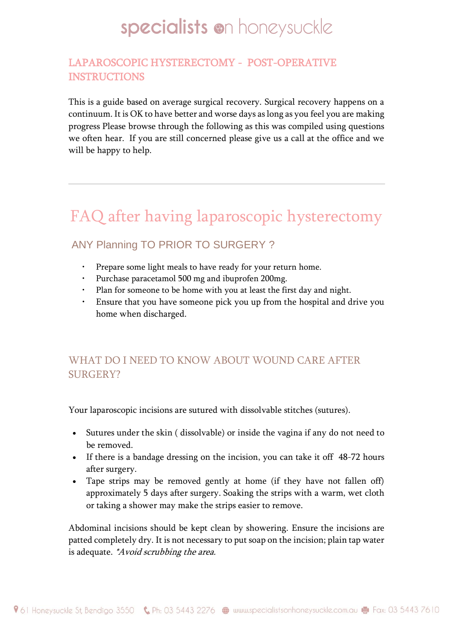### LAPAROSCOPIC HYSTERECTOMY - POST-OPERATIVE **INSTRUCTIONS**

This is a guide based on average surgical recovery. Surgical recovery happens on a continuum. It is OK to have better and worse days as long as you feel you are making progress Please browse through the following as this was compiled using questions we often hear. If you are still concerned please give us a call at the office and we will be happy to help.

## FAQ after having laparoscopic hysterectomy

## ANY Planning TO PRIOR TO SURGERY ?

- Prepare some light meals to have ready for your return home.
- Purchase paracetamol 500 mg and ibuprofen 200mg.
- Plan for someone to be home with you at least the first day and night.
- Ensure that you have someone pick you up from the hospital and drive you home when discharged.

## WHAT DO I NEED TO KNOW ABOUT WOUND CARE AFTER SURGERY?

Your laparoscopic incisions are sutured with dissolvable stitches (sutures).

- Sutures under the skin ( dissolvable) or inside the vagina if any do not need to be removed.
- If there is a bandage dressing on the incision, you can take it off 48-72 hours after surgery.
- Tape strips may be removed gently at home (if they have not fallen off) approximately 5 days after surgery. Soaking the strips with a warm, wet cloth or taking a shower may make the strips easier to remove.

Abdominal incisions should be kept clean by showering. Ensure the incisions are patted completely dry. It is not necessary to put soap on the incision; plain tap water is adequate. *\*Avoid scrubbing the area.*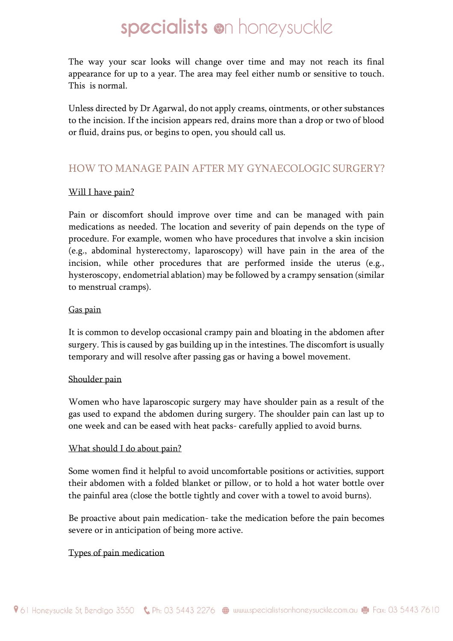The way your scar looks will change over time and may not reach its final appearance for up to a year. The area may feel either numb or sensitive to touch. This is normal.

Unless directed by Dr Agarwal, do not apply creams, ointments, or other substances to the incision. If the incision appears red, drains more than a drop or two of blood or fluid, drains pus, or begins to open, you should call us.

### HOW TO MANAGE PAIN AFTER MY GYNAECOLOGIC SURGERY?

#### Will I have pain?

Pain or discomfort should improve over time and can be managed with pain medications as needed. The location and severity of pain depends on the type of procedure. For example, women who have procedures that involve a skin incision (e.g., abdominal hysterectomy, laparoscopy) will have pain in the area of the incision, while other procedures that are performed inside the uterus (e.g., hysteroscopy, endometrial ablation) may be followed by a crampy sensation (similar to menstrual cramps).

#### Gas pain

It is common to develop occasional crampy pain and bloating in the abdomen after surgery. This is caused by gas building up in the intestines. The discomfort is usually temporary and will resolve after passing gas or having a bowel movement.

#### Shoulder pain

Women who have laparoscopic surgery may have shoulder pain as a result of the gas used to expand the abdomen during surgery. The shoulder pain can last up to one week and can be eased with heat packs- carefully applied to avoid burns.

#### What should I do about pain?

Some women find it helpful to avoid uncomfortable positions or activities, support their abdomen with a folded blanket or pillow, or to hold a hot water bottle over the painful area (close the bottle tightly and cover with a towel to avoid burns).

Be proactive about pain medication- take the medication before the pain becomes severe or in anticipation of being more active.

#### Types of pain medication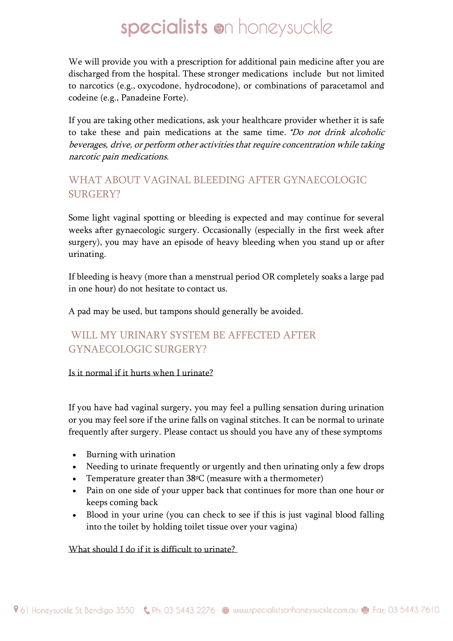We will provide you with a prescription for additional pain medicine after you are discharged from the hospital. These stronger medications include but not limited to narcotics (e.g., oxycodone, hydrocodone), or combinations of paracetamol and codeine (e.g., Panadeine Forte).

If you are taking other medications, ask your healthcare provider whether it is safe to take these and pain medications at the same time. \*Do not drink alcoholic beverages, drive, or perform other activities that require concentration while taking narcotic pain medications.

## WHAT ABOUT VAGINAL BLEEDING AFTER GYNAECOLOGIC SURGERY?

Some light vaginal spotting or bleeding is expected and may continue for several weeks after gynaecologic surgery. Occasionally (especially in the first week after surgery), you may have an episode of heavy bleeding when you stand up or after urinating.

If bleeding is heavy (more than a menstrual period OR completely soaks a large pad in one hour) do not hesitate to contact us.

A pad may be used, but tampons should generally be avoided.

## WILL MY URINARY SYSTEM BE AFFECTED AFTER GYNAECOLOGIC SURGERY?

#### Is it normal if it hurts when I urinate?

If you have had vaginal surgery, you may feel a pulling sensation during urination or you may feel sore if the urine falls on vaginal stitches. It can be normal to urinate frequently after surgery. Please contact us should you have any of these symptoms

- Burning with urination
- Needing to urinate frequently or urgently and then urinating only a few drops
- Temperature greater than  $38\degree$ C (measure with a thermometer)
- Pain on one side of your upper back that continues for more than one hour or keeps coming back
- Blood in your urine (you can check to see if this is just vaginal blood falling into the toilet by holding toilet tissue over your vagina)

#### What should I do if it is difficult to urinate?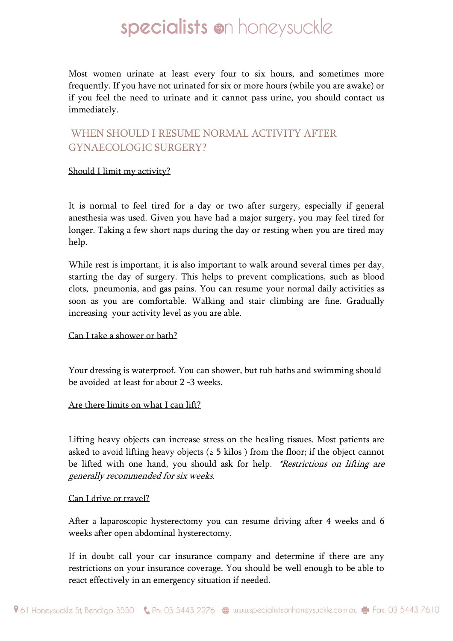Most women urinate at least every four to six hours, and sometimes more frequently. If you have not urinated for six or more hours (while you are awake) or if you feel the need to urinate and it cannot pass urine, you should contact us immediately.

### WHEN SHOULD I RESUME NORMAL ACTIVITY AFTER GYNAECOLOGIC SURGERY?

#### Should I limit my activity?

It is normal to feel tired for a day or two after surgery, especially if general anesthesia was used. Given you have had a major surgery, you may feel tired for longer. Taking a few short naps during the day or resting when you are tired may help.

While rest is important, it is also important to walk around several times per day, starting the day of surgery. This helps to prevent complications, such as blood clots, pneumonia, and gas pains. You can resume your normal daily activities as soon as you are comfortable. Walking and stair climbing are fine. Gradually increasing your activity level as you are able.

#### Can I take a shower or bath?

Your dressing is waterproof. You can shower, but tub baths and swimming should be avoided at least for about 2 -3 weeks.

#### Are there limits on what I can lift?

Lifting heavy objects can increase stress on the healing tissues. Most patients are asked to avoid lifting heavy objects ( $\geq$  5 kilos ) from the floor; if the object cannot be lifted with one hand, you should ask for help. \*Restrictions on lifting are generally recommended for six weeks.

#### Can I drive or travel?

After a laparoscopic hysterectomy you can resume driving after 4 weeks and 6 weeks after open abdominal hysterectomy.

If in doubt call your car insurance company and determine if there are any restrictions on your insurance coverage. You should be well enough to be able to react effectively in an emergency situation if needed.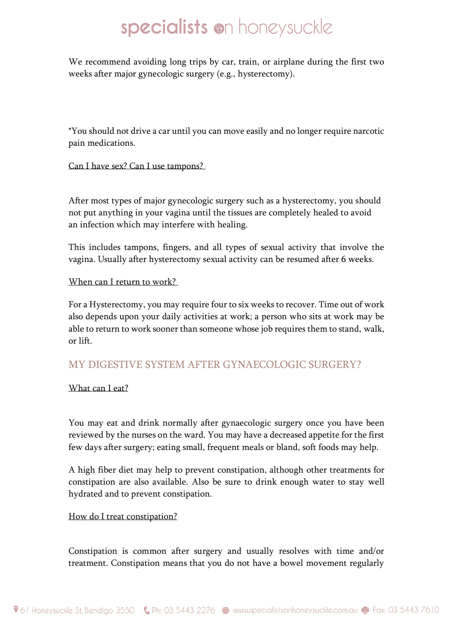We recommend avoiding long trips by car, train, or airplane during the first two weeks after major gynecologic surgery (e.g., hysterectomy).

\*You should not drive a car until you can move easily and no longer require narcotic pain medications.

#### Can I have sex? Can I use tampons?

After most types of major gynecologic surgery such as a hysterectomy, you should not put anything in your vagina until the tissues are completely healed to avoid an infection which may interfere with healing.

This includes tampons, fingers, and all types of sexual activity that involve the vagina. Usually after hysterectomy sexual activity can be resumed after 6 weeks.

#### When can I return to work?

For a Hysterectomy, you may require four to six weeks to recover. Time out of work also depends upon your daily activities at work; a person who sits at work may be able to return to work sooner than someone whose job requires them to stand, walk, or lift.

#### MY DIGESTIVE SYSTEM AFTER GYNAECOLOGIC SURGERY?

What can I eat?

You may eat and drink normally after gynaecologic surgery once you have been reviewed by the nurses on the ward. You may have a decreased appetite for the first few days after surgery; eating small, frequent meals or bland, soft foods may help.

A high fiber diet may help to prevent constipation, although other treatments for constipation are also available. Also be sure to drink enough water to stay well hydrated and to prevent constipation.

How do I treat constipation?

Constipation is common after surgery and usually resolves with time and/or treatment. Constipation means that you do not have a bowel movement regularly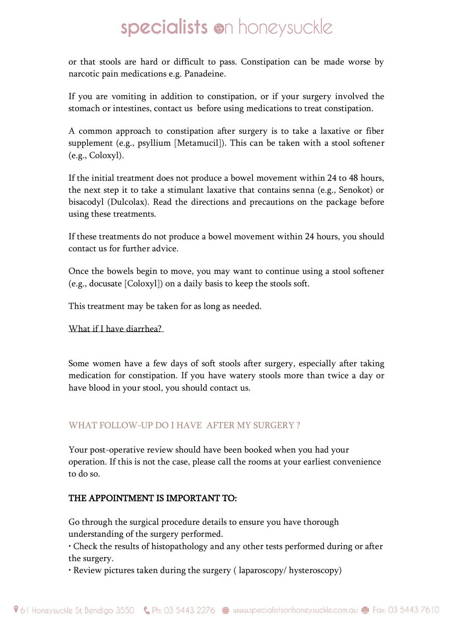or that stools are hard or difficult to pass. Constipation can be made worse by narcotic pain medications e.g. Panadeine.

If you are vomiting in addition to constipation, or if your surgery involved the stomach or intestines, contact us before using medications to treat constipation.

A common approach to constipation after surgery is to take a laxative or fiber supplement (e.g., psyllium [Metamucil]). This can be taken with a stool softener (e.g., Coloxyl).

If the initial treatment does not produce a bowel movement within 24 to 48 hours, the next step it to take a stimulant laxative that contains senna (e.g., Senokot) or bisacodyl (Dulcolax). Read the directions and precautions on the package before using these treatments.

If these treatments do not produce a bowel movement within 24 hours, you should contact us for further advice.

Once the bowels begin to move, you may want to continue using a stool softener (e.g., docusate [Coloxyl]) on a daily basis to keep the stools soft.

This treatment may be taken for as long as needed.

What if I have diarrhea?

Some women have a few days of soft stools after surgery, especially after taking medication for constipation. If you have watery stools more than twice a day or have blood in your stool, you should contact us.

#### WHAT FOLLOW-UP DO I HAVE AFTER MY SURGERY ?

Your post-operative review should have been booked when you had your operation. If this is not the case, please call the rooms at your earliest convenience to do so.

#### THE APPOINTMENT IS IMPORTANT TO:

Go through the surgical procedure details to ensure you have thorough understanding of the surgery performed.

• Check the results of histopathology and any other tests performed during or after the surgery.

• Review pictures taken during the surgery ( laparoscopy/ hysteroscopy)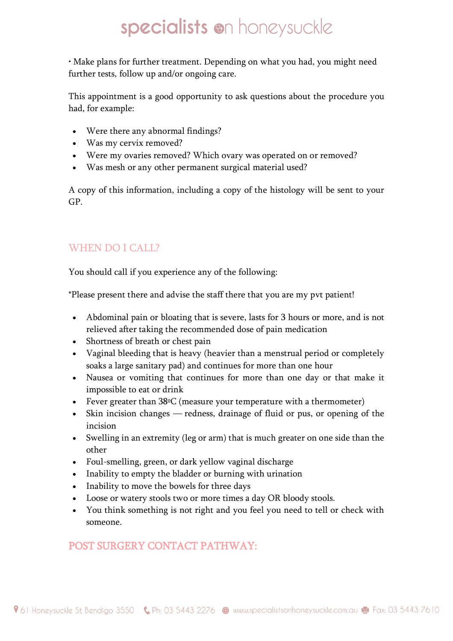• Make plans for further treatment. Depending on what you had, you might need further tests, follow up and/or ongoing care.

This appointment is a good opportunity to ask questions about the procedure you had, for example:

- Were there any abnormal findings?
- Was my cervix removed?
- Were my ovaries removed? Which ovary was operated on or removed?
- Was mesh or any other permanent surgical material used?

A copy of this information, including a copy of the histology will be sent to your GP.

## WHEN DO I CALL?

You should call if you experience any of the following:

\*Please present there and advise the staff there that you are my pvt patient!

- Abdominal pain or bloating that is severe, lasts for 3 hours or more, and is not relieved after taking the recommended dose of pain medication
- Shortness of breath or chest pain
- Vaginal bleeding that is heavy (heavier than a menstrual period or completely soaks a large sanitary pad) and continues for more than one hour
- Nausea or vomiting that continues for more than one day or that make it impossible to eat or drink
- Fever greater than 38 °C (measure your temperature with a thermometer)
- Skin incision changes redness, drainage of fluid or pus, or opening of the incision
- Swelling in an extremity (leg or arm) that is much greater on one side than the other
- Foul-smelling, green, or dark yellow vaginal discharge
- Inability to empty the bladder or burning with urination
- Inability to move the bowels for three days
- Loose or watery stools two or more times a day OR bloody stools.
- You think something is not right and you feel you need to tell or check with someone.

## POST SURGERY CONTACT PATHWAY: